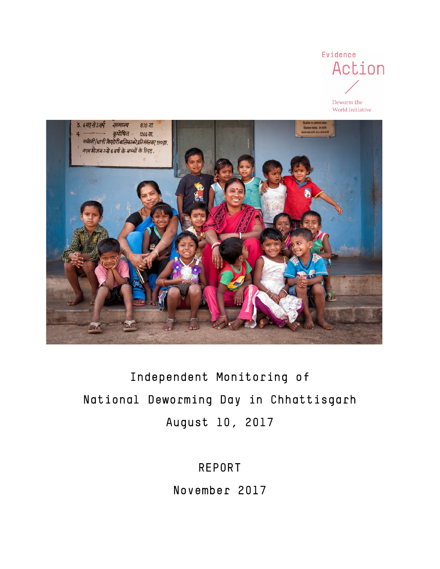

World Initiative

3. 6माहसे 3वर्ष सामान्य 810 गा. ्णाः ।<br>कुपोषित ।266 गा.<br>गर्भवती /धात्री किशोरीबालिकाको प्रविभागतबारः १९० गा.  $\overline{a}$ गरम मीजन उम्रे ६ वर्ष के बच्चों के लिए.

# Independent Monitoring of National Deworming Day in Chhattisgarh August 10, 2017

REPORT

November 2017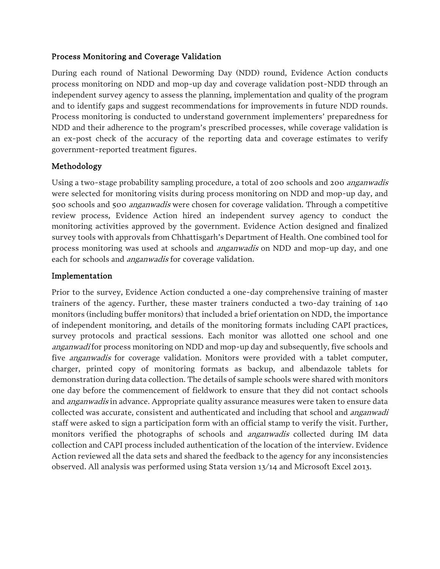#### Process Monitoring and Coverage Validation

During each round of National Deworming Day (NDD) round, Evidence Action conducts process monitoring on NDD and mop-up day and coverage validation post-NDD through an independent survey agency to assess the planning, implementation and quality of the program and to identify gaps and suggest recommendations for improvements in future NDD rounds. Process monitoring is conducted to understand government implementers' preparedness for NDD and their adherence to the program's prescribed processes, while coverage validation is an ex-post check of the accuracy of the reporting data and coverage estimates to verify government-reported treatment figures.

#### Methodology

Using a two-stage probability sampling procedure, a total of 200 schools and 200 *anganwadis* were selected for monitoring visits during process monitoring on NDD and mop-up day, and 500 schools and 500 *anganwadis* were chosen for coverage validation. Through a competitive review process, Evidence Action hired an independent survey agency to conduct the monitoring activities approved by the government. Evidence Action designed and finalized survey tools with approvals from Chhattisgarh's Department of Health. One combined tool for process monitoring was used at schools and anganwadis on NDD and mop-up day, and one each for schools and *anganwadis* for coverage validation.

#### Implementation

Prior to the survey, Evidence Action conducted a one-day comprehensive training of master trainers of the agency. Further, these master trainers conducted a two-day training of 140 monitors (including buffer monitors) that included a brief orientation on NDD, the importance of independent monitoring, and details of the monitoring formats including CAPI practices, survey protocols and practical sessions. Each monitor was allotted one school and one anganwadi for process monitoring on NDD and mop-up day and subsequently, five schools and five *anganwadis* for coverage validation. Monitors were provided with a tablet computer, charger, printed copy of monitoring formats as backup, and albendazole tablets for demonstration during data collection. The details of sample schools were shared with monitors one day before the commencement of fieldwork to ensure that they did not contact schools and *anganwadis* in advance. Appropriate quality assurance measures were taken to ensure data collected was accurate, consistent and authenticated and including that school and *anganwadi* staff were asked to sign a participation form with an official stamp to verify the visit. Further, monitors verified the photographs of schools and anganwadis collected during IM data collection and CAPI process included authentication of the location of the interview. Evidence Action reviewed all the data sets and shared the feedback to the agency for any inconsistencies observed. All analysis was performed using Stata version 13/14 and Microsoft Excel 2013.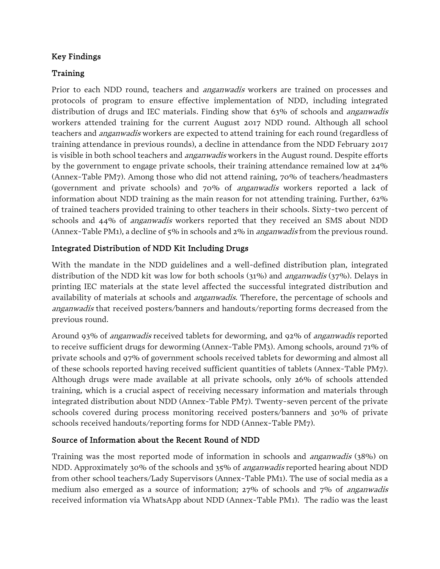#### Key Findings

#### Training

Prior to each NDD round, teachers and *anganwadis* workers are trained on processes and protocols of program to ensure effective implementation of NDD, including integrated distribution of drugs and IEC materials. Finding show that 63% of schools and *anganwadis* workers attended training for the current August 2017 NDD round. Although all school teachers and anganwadis workers are expected to attend training for each round (regardless of training attendance in previous rounds), a decline in attendance from the NDD February 2017 is visible in both school teachers and *anganwadis* workers in the August round. Despite efforts by the government to engage private schools, their training attendance remained low at 24% (Annex-Table PM7). Among those who did not attend raining, 70% of teachers/headmasters (government and private schools) and 70% of anganwadis workers reported a lack of information about NDD training as the main reason for not attending training. Further, 62% of trained teachers provided training to other teachers in their schools. Sixty-two percent of schools and 44% of *anganwadis* workers reported that they received an SMS about NDD (Annex-Table PM1), a decline of 5% in schools and 2% in anganwadis from the previous round.

## Integrated Distribution of NDD Kit Including Drugs

With the mandate in the NDD guidelines and a well-defined distribution plan, integrated distribution of the NDD kit was low for both schools (31%) and *anganwadis* (37%). Delays in printing IEC materials at the state level affected the successful integrated distribution and availability of materials at schools and *anganwadis*. Therefore, the percentage of schools and anganwadis that received posters/banners and handouts/reporting forms decreased from the previous round.

Around 93% of *anganwadis* received tablets for deworming, and 92% of *anganwadis* reported to receive sufficient drugs for deworming (Annex-Table PM3). Among schools, around 71% of private schools and 97% of government schools received tablets for deworming and almost all of these schools reported having received sufficient quantities of tablets (Annex-Table PM7). Although drugs were made available at all private schools, only 26% of schools attended training, which is a crucial aspect of receiving necessary information and materials through integrated distribution about NDD (Annex-Table PM7). Twenty-seven percent of the private schools covered during process monitoring received posters/banners and 30% of private schools received handouts/reporting forms for NDD (Annex-Table PM7).

#### Source of Information about the Recent Round of NDD

Training was the most reported mode of information in schools and anganwadis (38%) on NDD. Approximately 30% of the schools and 35% of *anganwadis* reported hearing about NDD from other school teachers/Lady Supervisors (Annex-Table PM1). The use of social media as a medium also emerged as a source of information; 27% of schools and 7% of anganwadis received information via WhatsApp about NDD (Annex-Table PM1). The radio was the least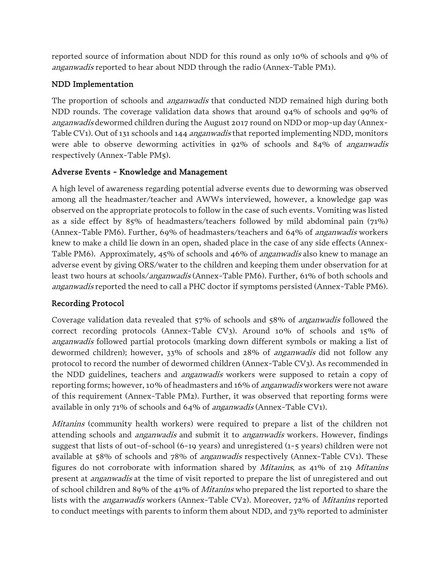reported source of information about NDD for this round as only 10% of schools and 9% of anganwadis reported to hear about NDD through the radio (Annex-Table PM1).

## NDD Implementation

The proportion of schools and *anganwadis* that conducted NDD remained high during both NDD rounds. The coverage validation data shows that around 94% of schools and 99% of anganwadis dewormed children during the August 2017 round on NDD or mop-up day (Annex-Table CV1). Out of 131 schools and 144 *anganwadis* that reported implementing NDD, monitors were able to observe deworming activities in 92% of schools and 84% of anganwadis respectively (Annex-Table PM5).

## Adverse Events - Knowledge and Management

A high level of awareness regarding potential adverse events due to deworming was observed among all the headmaster/teacher and AWWs interviewed, however, a knowledge gap was observed on the appropriate protocols to follow in the case of such events. Vomiting was listed as a side effect by 85% of headmasters/teachers followed by mild abdominal pain (71%) (Annex-Table PM6). Further, 69% of headmasters/teachers and 64% of *anganwadis* workers knew to make a child lie down in an open, shaded place in the case of any side effects (Annex-Table PM6). Approximately, 45% of schools and 46% of *anganwadis* also knew to manage an adverse event by giving ORS/water to the children and keeping them under observation for at least two hours at schools/*anganwadis* (Annex-Table PM6). Further, 61% of both schools and anganwadis reported the need to call a PHC doctor if symptoms persisted (Annex-Table PM6).

## Recording Protocol

Coverage validation data revealed that 57% of schools and 58% of anganwadis followed the correct recording protocols (Annex-Table CV3). Around 10% of schools and 15% of anganwadis followed partial protocols (marking down different symbols or making a list of dewormed children); however, 33% of schools and 28% of anganwadis did not follow any protocol to record the number of dewormed children (Annex-Table CV3). As recommended in the NDD guidelines, teachers and *anganwadis* workers were supposed to retain a copy of reporting forms; however, 10% of headmasters and 16% of *anganwadis* workers were not aware of this requirement (Annex-Table PM2). Further, it was observed that reporting forms were available in only 71% of schools and 64% of *anganwadis* (Annex-Table CV1).

*Mitanins* (community health workers) were required to prepare a list of the children not attending schools and *anganwadis* and submit it to *anganwadis* workers. However, findings suggest that lists of out-of-school (6-19 years) and unregistered (1-5 years) children were not available at 58% of schools and 78% of anganwadis respectively (Annex-Table CV1). These figures do not corroborate with information shared by Mitanins, as 41% of 219 Mitanins present at anganwadis at the time of visit reported to prepare the list of unregistered and out of school children and 89% of the 41% of *Mitanins* who prepared the list reported to share the lists with the *anganwadis* workers (Annex-Table CV2). Moreover, 72% of *Mitanins* reported to conduct meetings with parents to inform them about NDD, and 73% reported to administer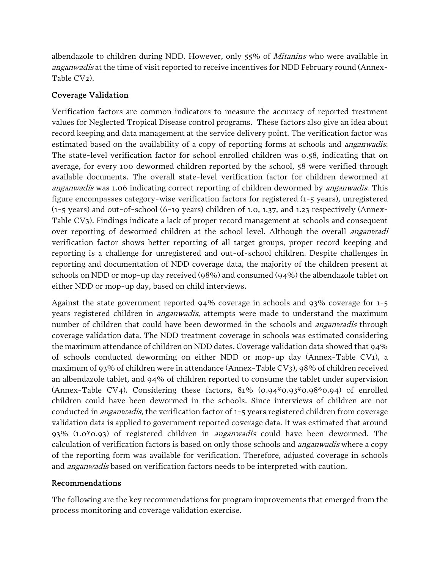albendazole to children during NDD. However, only 55% of *Mitanins* who were available in anganwadis at the time of visit reported to receive incentives for NDD February round (Annex-Table CV<sub>2</sub>).

## Coverage Validation

Verification factors are common indicators to measure the accuracy of reported treatment values for Neglected Tropical Disease control programs. These factors also give an idea about record keeping and data management at the service delivery point. The verification factor was estimated based on the availability of a copy of reporting forms at schools and *anganwadis*. The state-level verification factor for school enrolled children was 0.58, indicating that on average, for every 100 dewormed children reported by the school, 58 were verified through available documents. The overall state-level verification factor for children dewormed at anganwadis was 1.06 indicating correct reporting of children dewormed by anganwadis. This figure encompasses category-wise verification factors for registered (1-5 years), unregistered (1-5 years) and out-of-school (6-19 years) children of 1.0, 1.37, and 1.23 respectively (Annex-Table CV3). Findings indicate a lack of proper record management at schools and consequent over reporting of dewormed children at the school level. Although the overall *anganwadi* verification factor shows better reporting of all target groups, proper record keeping and reporting is a challenge for unregistered and out-of-school children. Despite challenges in reporting and documentation of NDD coverage data, the majority of the children present at schools on NDD or mop-up day received (98%) and consumed (94%) the albendazole tablet on either NDD or mop-up day, based on child interviews.

Against the state government reported 94% coverage in schools and 93% coverage for 1-5 years registered children in *anganwadis*, attempts were made to understand the maximum number of children that could have been dewormed in the schools and *anganwadis* through coverage validation data. The NDD treatment coverage in schools was estimated considering the maximum attendance of children on NDD dates. Coverage validation data showed that 94% of schools conducted deworming on either NDD or mop-up day (Annex-Table CV1), a maximum of 93% of children were in attendance (Annex-Table CV3), 98% of children received an albendazole tablet, and 94% of children reported to consume the tablet under supervision (Annex-Table CV4). Considering these factors,  $81\%$   $(0.94\%0.93\%0.98\%0.94)$  of enrolled children could have been dewormed in the schools. Since interviews of children are not conducted in *anganwadis*, the verification factor of 1-5 years registered children from coverage validation data is applied to government reported coverage data. It was estimated that around 93% (1.0\*0.93) of registered children in *anganwadis* could have been dewormed. The calculation of verification factors is based on only those schools and *anganwadis* where a copy of the reporting form was available for verification. Therefore, adjusted coverage in schools and anganwadis based on verification factors needs to be interpreted with caution.

#### Recommendations

The following are the key recommendations for program improvements that emerged from the process monitoring and coverage validation exercise.